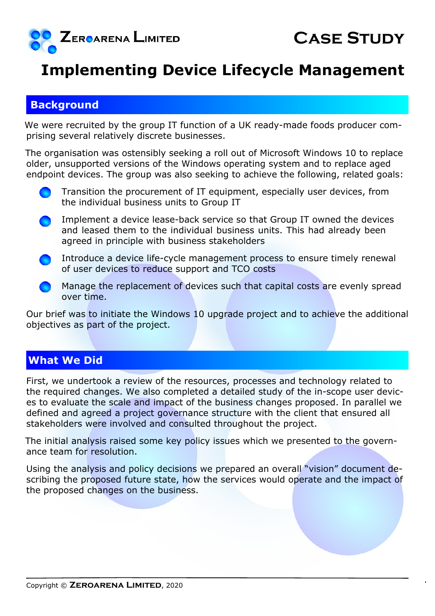

## **Implementing Device Lifecycle Management**

## **Background**

We were recruited by the group IT function of a UK ready-made foods producer comprising several relatively discrete businesses.

The organisation was ostensibly seeking a roll out of Microsoft Windows 10 to replace older, unsupported versions of the Windows operating system and to replace aged endpoint devices. The group was also seeking to achieve the following, related goals:

- Transition the procurement of IT equipment, especially user devices, from the individual business units to Group IT
- Implement a device lease-back service so that Group IT owned the devices and leased them to the individual business units. This had already been agreed in principle with business stakeholders
- Introduce a device life-cycle management process to ensure timely renewal of user devices to reduce support and TCO costs
- Manage the replacement of devices such that capital costs are evenly spread over time.

Our brief was to initiate the Windows 10 upgrade project and to achieve the additional objectives as part of the project.

## **What We Did**

First, we undertook a review of the resources, processes and technology related to the required changes. We also completed a detailed study of the in-scope user devices to evaluate the scale and impact of the business changes proposed. In parallel we defined and agreed a project governance structure with the client that ensured all stakeholders were involved and consulted throughout the project.

The initial analysis raised some key policy issues which we presented to the governance team for resolution.

Using the analysis and policy decisions we prepared an overall "vision" document describing the proposed future state, how the services would operate and the impact of the proposed changes on the business.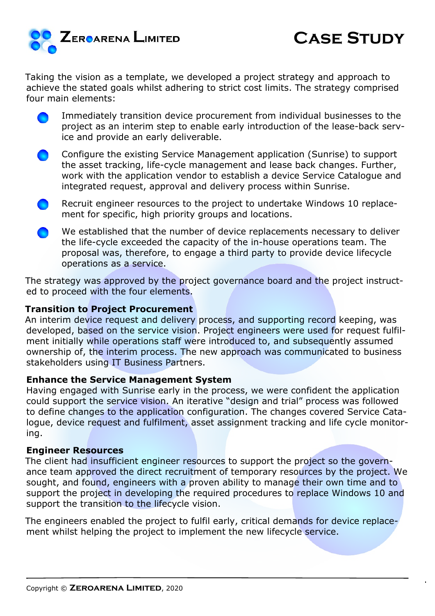

Taking the vision as a template, we developed a project strategy and approach to achieve the stated goals whilst adhering to strict cost limits. The strategy comprised four main elements:

- Immediately transition device procurement from individual businesses to the project as an interim step to enable early introduction of the lease-back service and provide an early deliverable.
- Configure the existing Service Management application (Sunrise) to support the asset tracking, life-cycle management and lease back changes. Further, work with the application vendor to establish a device Service Catalogue and integrated request, approval and delivery process within Sunrise.
- Recruit engineer resources to the project to undertake Windows 10 replacement for specific, high priority groups and locations.
- We established that the number of device replacements necessary to deliver the life-cycle exceeded the capacity of the in-house operations team. The proposal was, therefore, to engage a third party to provide device lifecycle operations as a service.

The strategy was approved by the project governance board and the project instructed to proceed with the four elements.

#### **Transition to Project Procurement**

An interim device request and delivery process, and supporting record keeping, was developed, based on the service vision. Project engineers were used for request fulfilment initially while operations staff were introduced to, and subsequently assumed ownership of, the interim process. The new approach was communicated to business stakeholders using IT Business Partners.

#### **Enhance the Service Management System**

Having engaged with Sunrise early in the process, we were confident the application could support the service vision. An iterative "design and trial" process was followed to define changes to the application configuration. The changes covered Service Catalogue, device request and fulfilment, asset assignment tracking and life cycle monitoring.

#### **Engineer Resources**

The client had insufficient engineer resources to support the project so the governance team approved the direct recruitment of temporary resources by the project. We sought, and found, engineers with a proven ability to manage their own time and to support the project in developing the required procedures to replace Windows 10 and support the transition to the lifecycle vision.

The engineers enabled the project to fulfil early, critical demands for device replacement whilst helping the project to implement the new lifecycle service.